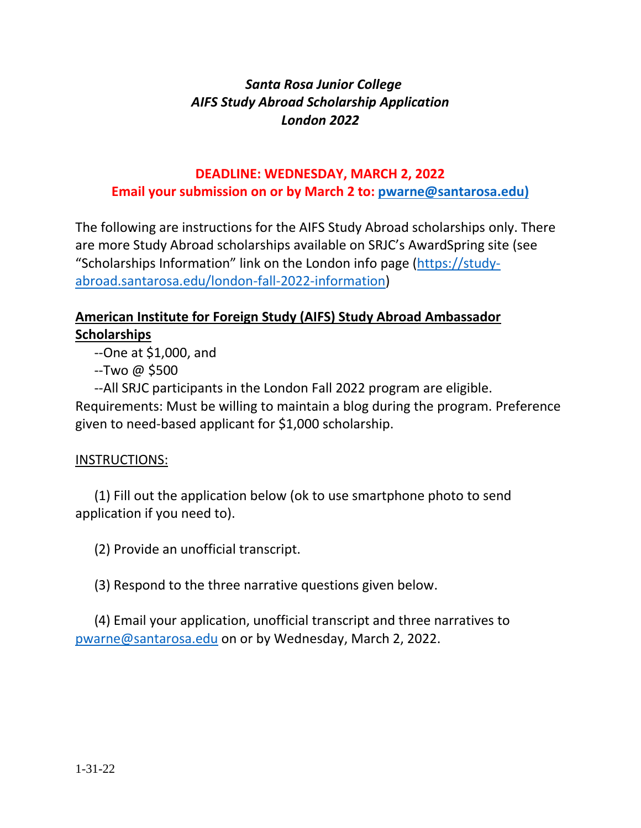# *Santa Rosa Junior College AIFS Study Abroad Scholarship Application London 2022*

#### **DEADLINE: WEDNESDAY, MARCH 2, 2022 Email your submission on or by March 2 to: [pwarne@santarosa.edu\)](mailto:pwarne@santarosa.edu)**

The following are instructions for the AIFS Study Abroad scholarships only. There are more Study Abroad scholarships available on SRJC's AwardSpring site (see "Scholarships Information" link on the London info page [\(https://study](https://study-abroad.santarosa.edu/london-fall-2022-information)[abroad.santarosa.edu/london-fall-2022-information\)](https://study-abroad.santarosa.edu/london-fall-2022-information)

## **American Institute for Foreign Study (AIFS) Study Abroad Ambassador Scholarships**

--One at \$1,000, and

--Two @ \$500

--All SRJC participants in the London Fall 2022 program are eligible. Requirements: Must be willing to maintain a blog during the program. Preference given to need-based applicant for \$1,000 scholarship.

### INSTRUCTIONS:

(1) Fill out the application below (ok to use smartphone photo to send application if you need to).

(2) Provide an unofficial transcript.

(3) Respond to the three narrative questions given below.

(4) Email your application, unofficial transcript and three narratives to [pwarne@santarosa.edu](mailto:pwarne@santarosa.edu) on or by Wednesday, March 2, 2022.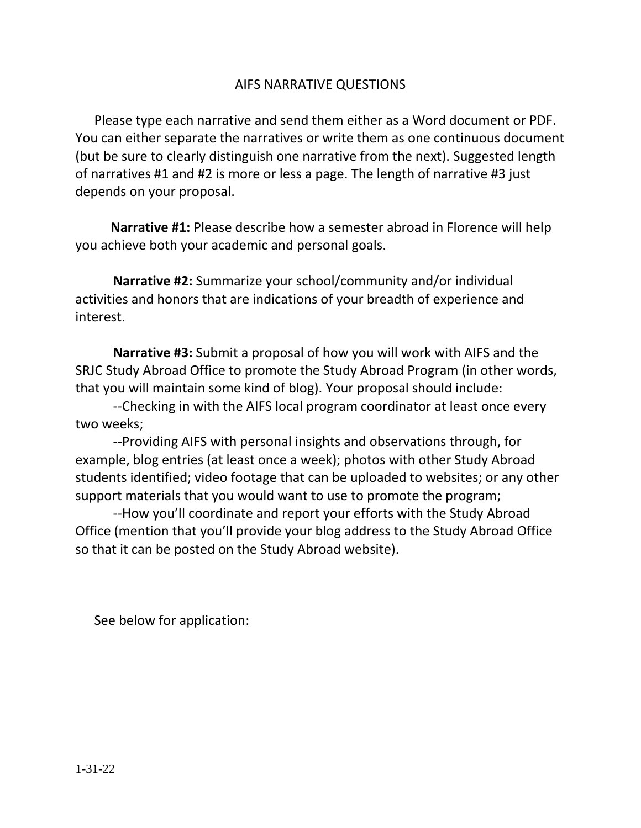### AIFS NARRATIVE QUESTIONS

Please type each narrative and send them either as a Word document or PDF. You can either separate the narratives or write them as one continuous document (but be sure to clearly distinguish one narrative from the next). Suggested length of narratives #1 and #2 is more or less a page. The length of narrative #3 just depends on your proposal.

 **Narrative #1:** Please describe how a semester abroad in Florence will help you achieve both your academic and personal goals.

**Narrative #2:** Summarize your school/community and/or individual activities and honors that are indications of your breadth of experience and interest.

**Narrative #3:** Submit a proposal of how you will work with AIFS and the SRJC Study Abroad Office to promote the Study Abroad Program (in other words, that you will maintain some kind of blog). Your proposal should include:

--Checking in with the AIFS local program coordinator at least once every two weeks;

--Providing AIFS with personal insights and observations through, for example, blog entries (at least once a week); photos with other Study Abroad students identified; video footage that can be uploaded to websites; or any other support materials that you would want to use to promote the program;

--How you'll coordinate and report your efforts with the Study Abroad Office (mention that you'll provide your blog address to the Study Abroad Office so that it can be posted on the Study Abroad website).

See below for application: